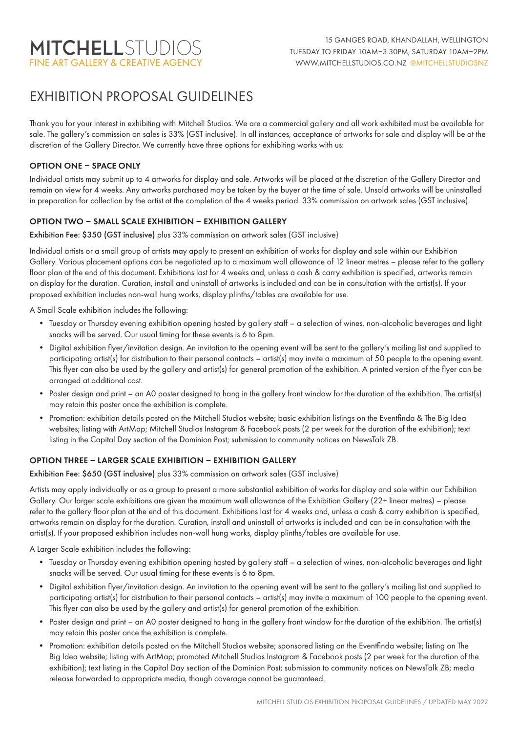# EXHIBITION PROPOSAL GUIDELINES

Thank you for your interest in exhibiting with Mitchell Studios. We are a commercial gallery and all work exhibited must be available for sale. The gallery's commission on sales is 33% (GST inclusive). In all instances, acceptance of artworks for sale and display will be at the discretion of the Gallery Director. We currently have three options for exhibiting works with us:

### OPTION ONE – SPACE ONLY

Individual artists may submit up to 4 artworks for display and sale. Artworks will be placed at the discretion of the Gallery Director and remain on view for 4 weeks. Any artworks purchased may be taken by the buyer at the time of sale. Unsold artworks will be uninstalled in preparation for collection by the artist at the completion of the 4 weeks period. 33% commission on artwork sales (GST inclusive).

## OPTION TWO – SMALL SCALE EXHIBITION – EXHIBITION GALLERY

Exhibition Fee: \$350 (GST inclusive) plus 33% commission on artwork sales (GST inclusive)

Individual artists or a small group of artists may apply to present an exhibition of works for display and sale within our Exhibition Gallery. Various placement options can be negotiated up to a maximum wall allowance of 12 linear metres – please refer to the gallery floor plan at the end of this document. Exhibitions last for 4 weeks and, unless a cash & carry exhibition is specified, artworks remain on display for the duration. Curation, install and uninstall of artworks is included and can be in consultation with the artist(s). If your proposed exhibition includes non-wall hung works, display plinths/tables are available for use.

A Small Scale exhibition includes the following:

- Tuesday or Thursday evening exhibition opening hosted by gallery staff a selection of wines, non-alcoholic beverages and light snacks will be served. Our usual timing for these events is 6 to 8pm.
- Digital exhibition flyer/invitation design. An invitation to the opening event will be sent to the gallery's mailing list and supplied to participating artist(s) for distribution to their personal contacts – artist(s) may invite a maximum of 50 people to the opening event. This flyer can also be used by the gallery and artist(s) for general promotion of the exhibition. A printed version of the flyer can be arranged at additional cost.
- Poster design and print an A0 poster designed to hang in the gallery front window for the duration of the exhibition. The artist(s) may retain this poster once the exhibition is complete.
- Promotion: exhibition details posted on the Mitchell Studios website; basic exhibition listings on the Eventfinda & The Big Idea websites; listing with ArtMap; Mitchell Studios Instagram & Facebook posts (2 per week for the duration of the exhibition); text listing in the Capital Day section of the Dominion Post; submission to community notices on NewsTalk ZB.

#### OPTION THREE – LARGER SCALE EXHIBITION – EXHIBITION GALLERY

Exhibition Fee: \$650 (GST inclusive) plus 33% commission on artwork sales (GST inclusive)

Artists may apply individually or as a group to present a more substantial exhibition of works for display and sale within our Exhibition Gallery. Our larger scale exhibitions are given the maximum wall allowance of the Exhibition Gallery (22+ linear metres) – please refer to the gallery floor plan at the end of this document. Exhibitions last for 4 weeks and, unless a cash & carry exhibition is specified, artworks remain on display for the duration. Curation, install and uninstall of artworks is included and can be in consultation with the artist(s). If your proposed exhibition includes non-wall hung works, display plinths/tables are available for use.

A Larger Scale exhibition includes the following:

- Tuesday or Thursday evening exhibition opening hosted by gallery staff a selection of wines, non-alcoholic beverages and light snacks will be served. Our usual timing for these events is 6 to 8pm.
- Digital exhibition flyer/invitation design. An invitation to the opening event will be sent to the gallery's mailing list and supplied to participating artist(s) for distribution to their personal contacts – artist(s) may invite a maximum of 100 people to the opening event. This flyer can also be used by the gallery and artist(s) for general promotion of the exhibition.
- Poster design and print an A0 poster designed to hang in the gallery front window for the duration of the exhibition. The artist(s) may retain this poster once the exhibition is complete.
- Promotion: exhibition details posted on the Mitchell Studios website; sponsored listing on the Eventfinda website; listing on The Big Idea website; listing with ArtMap; promoted Mitchell Studios Instagram & Facebook posts (2 per week for the duration of the exhibition); text listing in the Capital Day section of the Dominion Post; submission to community notices on NewsTalk ZB; media release forwarded to appropriate media, though coverage cannot be guaranteed.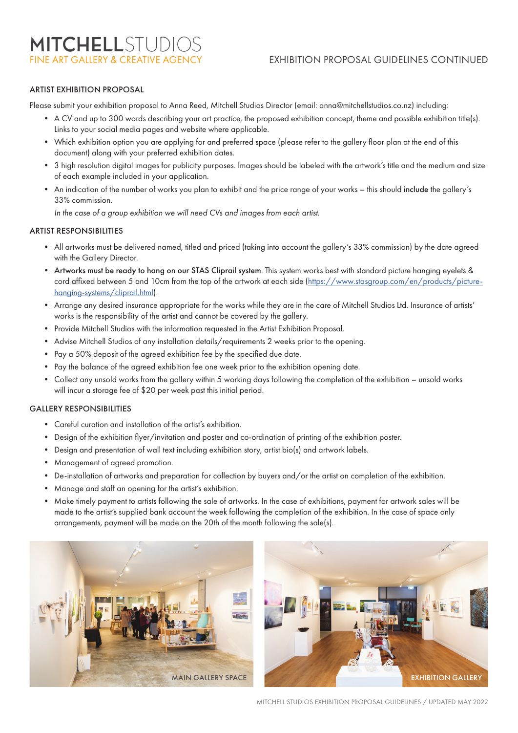# FINE ART GALLERY & CREATIVE AGENCY EXHIBITION PROPOSAL GUIDELINES CONTINUED

### ARTIST EXHIBITION PROPOSAL

Please submit your exhibition proposal to Anna Reed, Mitchell Studios Director (email: anna@mitchellstudios.co.nz) including:

- A CV and up to 300 words describing your art practice, the proposed exhibition concept, theme and possible exhibition title(s). Links to your social media pages and website where applicable.
- Which exhibition option you are applying for and preferred space (please refer to the gallery floor plan at the end of this document) along with your preferred exhibition dates.
- 3 high resolution digital images for publicity purposes. Images should be labeled with the artwork's title and the medium and size of each example included in your application.
- An indication of the number of works you plan to exhibit and the price range of your works this should include the gallery's 33% commission.

*In the case of a group exhibition we will need CVs and images from each artist.*

#### ARTIST RESPONSIBILITIES

- All artworks must be delivered named, titled and priced (taking into account the gallery's 33% commission) by the date agreed with the Gallery Director.
- Artworks must be ready to hang on our STAS Cliprail system. This system works best with standard picture hanging eyelets & cord affixed between 5 and 10cm from the top of the artwork at each side (https://www.stasgroup.com/en/products/picturehanging-systems/cliprail.html).
- Arrange any desired insurance appropriate for the works while they are in the care of Mitchell Studios Ltd. Insurance of artists' works is the responsibility of the artist and cannot be covered by the gallery.
- Provide Mitchell Studios with the information requested in the Artist Exhibition Proposal.
- Advise Mitchell Studios of any installation details/requirements 2 weeks prior to the opening.
- Pay a 50% deposit of the agreed exhibition fee by the specified due date.
- Pay the balance of the agreed exhibition fee one week prior to the exhibition opening date.
- Collect any unsold works from the gallery within 5 working days following the completion of the exhibition unsold works will incur a storage fee of \$20 per week past this initial period.

#### GALLERY RESPONSIBILITIES

- Careful curation and installation of the artist's exhibition.
- Design of the exhibition flyer/invitation and poster and co-ordination of printing of the exhibition poster.
- Design and presentation of wall text including exhibition story, artist bio(s) and artwork labels.
- Management of agreed promotion.
- De-installation of artworks and preparation for collection by buyers and/or the artist on completion of the exhibition.
- Manage and staff an opening for the artist's exhibition.
- Make timely payment to artists following the sale of artworks. In the case of exhibitions, payment for artwork sales will be made to the artist's supplied bank account the week following the completion of the exhibition. In the case of space only arrangements, payment will be made on the 20th of the month following the sale(s).